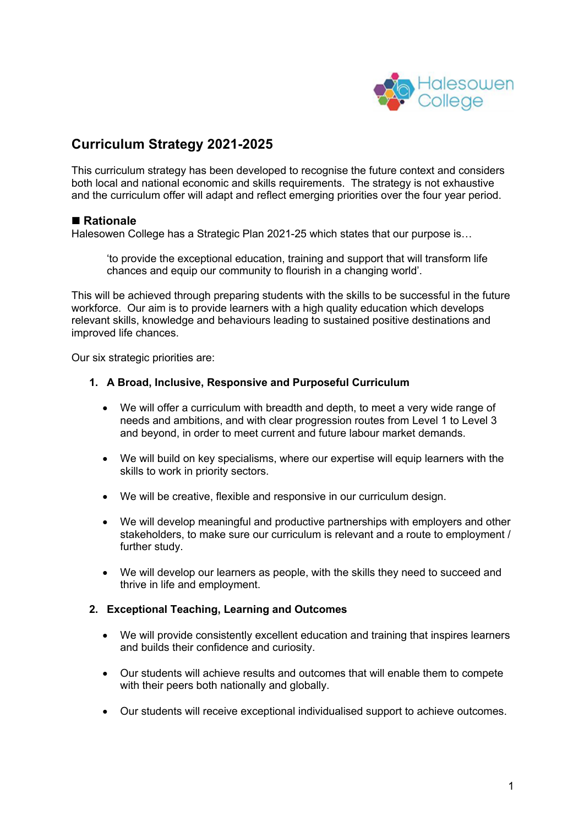

# **Curriculum Strategy 2021-2025**

This curriculum strategy has been developed to recognise the future context and considers both local and national economic and skills requirements. The strategy is not exhaustive and the curriculum offer will adapt and reflect emerging priorities over the four year period.

## ■ Rationale

Halesowen College has a Strategic Plan 2021-25 which states that our purpose is…

'to provide the exceptional education, training and support that will transform life chances and equip our community to flourish in a changing world'.

This will be achieved through preparing students with the skills to be successful in the future workforce. Our aim is to provide learners with a high quality education which develops relevant skills, knowledge and behaviours leading to sustained positive destinations and improved life chances.

Our six strategic priorities are:

### **1. A Broad, Inclusive, Responsive and Purposeful Curriculum**

- We will offer a curriculum with breadth and depth, to meet a very wide range of needs and ambitions, and with clear progression routes from Level 1 to Level 3 and beyond, in order to meet current and future labour market demands.
- We will build on key specialisms, where our expertise will equip learners with the skills to work in priority sectors.
- We will be creative, flexible and responsive in our curriculum design.
- We will develop meaningful and productive partnerships with employers and other stakeholders, to make sure our curriculum is relevant and a route to employment / further study.
- We will develop our learners as people, with the skills they need to succeed and thrive in life and employment.

### **2. Exceptional Teaching, Learning and Outcomes**

- We will provide consistently excellent education and training that inspires learners and builds their confidence and curiosity.
- Our students will achieve results and outcomes that will enable them to compete with their peers both nationally and globally.
- Our students will receive exceptional individualised support to achieve outcomes.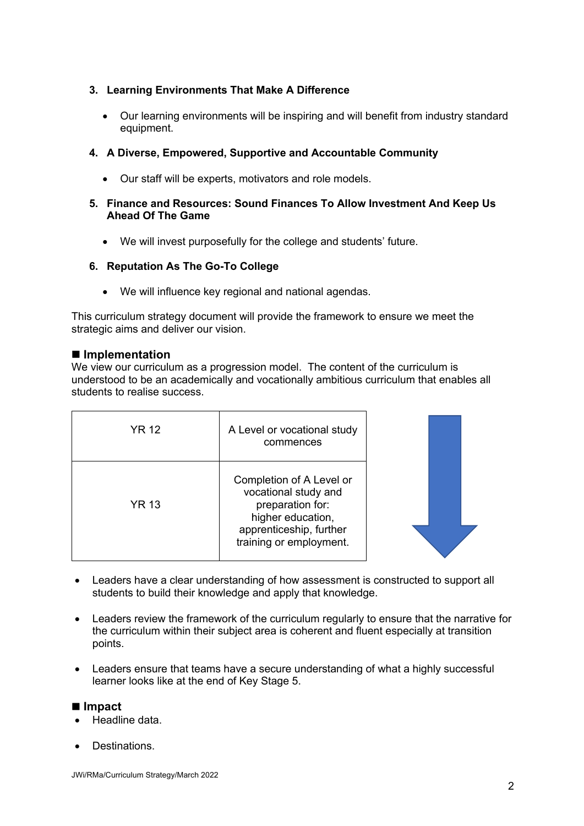### **3. Learning Environments That Make A Difference**

• Our learning environments will be inspiring and will benefit from industry standard equipment.

## **4. A Diverse, Empowered, Supportive and Accountable Community**

- Our staff will be experts, motivators and role models.
- **5. Finance and Resources: Sound Finances To Allow Investment And Keep Us Ahead Of The Game**
	- We will invest purposefully for the college and students' future.

### **6. Reputation As The Go-To College**

• We will influence key regional and national agendas.

This curriculum strategy document will provide the framework to ensure we meet the strategic aims and deliver our vision.

### ■ **Implementation**

We view our curriculum as a progression model. The content of the curriculum is understood to be an academically and vocationally ambitious curriculum that enables all students to realise success.

| YR 12        | A Level or vocational study<br>commences                                                                                                        |  |
|--------------|-------------------------------------------------------------------------------------------------------------------------------------------------|--|
| <b>YR 13</b> | Completion of A Level or<br>vocational study and<br>preparation for:<br>higher education,<br>apprenticeship, further<br>training or employment. |  |

- Leaders have a clear understanding of how assessment is constructed to support all students to build their knowledge and apply that knowledge.
- Leaders review the framework of the curriculum regularly to ensure that the narrative for the curriculum within their subject area is coherent and fluent especially at transition points.
- Leaders ensure that teams have a secure understanding of what a highly successful learner looks like at the end of Key Stage 5.

### ■ **Impact**

- Headline data.
- Destinations.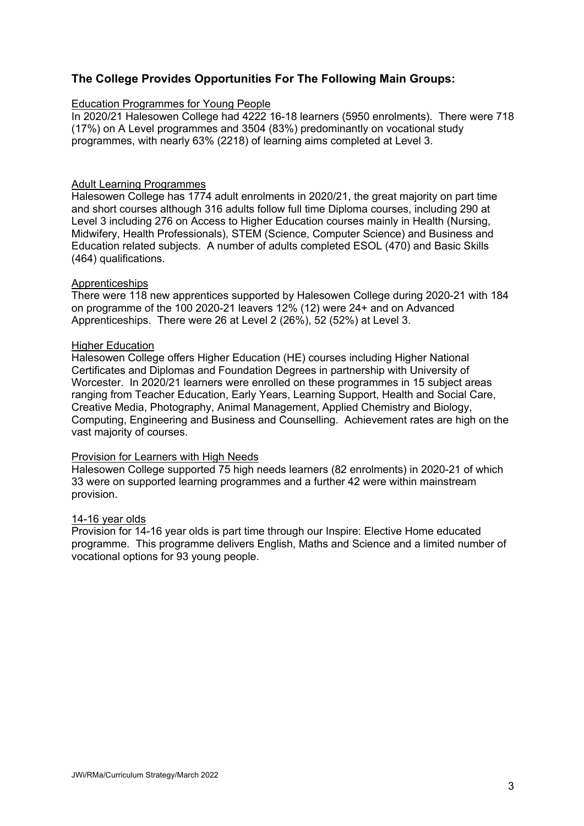## **The College Provides Opportunities For The Following Main Groups:**

### Education Programmes for Young People

In 2020/21 Halesowen College had 4222 16-18 learners (5950 enrolments). There were 718 (17%) on A Level programmes and 3504 (83%) predominantly on vocational study programmes, with nearly 63% (2218) of learning aims completed at Level 3.

### Adult Learning Programmes

Halesowen College has 1774 adult enrolments in 2020/21, the great majority on part time and short courses although 316 adults follow full time Diploma courses, including 290 at Level 3 including 276 on Access to Higher Education courses mainly in Health (Nursing, Midwifery, Health Professionals), STEM (Science, Computer Science) and Business and Education related subjects. A number of adults completed ESOL (470) and Basic Skills (464) qualifications.

### Apprenticeships

There were 118 new apprentices supported by Halesowen College during 2020-21 with 184 on programme of the 100 2020-21 leavers 12% (12) were 24+ and on Advanced Apprenticeships. There were 26 at Level 2 (26%), 52 (52%) at Level 3.

### **Higher Education**

Halesowen College offers Higher Education (HE) courses including Higher National Certificates and Diplomas and Foundation Degrees in partnership with University of Worcester. In 2020/21 learners were enrolled on these programmes in 15 subject areas ranging from Teacher Education, Early Years, Learning Support, Health and Social Care, Creative Media, Photography, Animal Management, Applied Chemistry and Biology, Computing, Engineering and Business and Counselling. Achievement rates are high on the vast majority of courses.

### Provision for Learners with High Needs

Halesowen College supported 75 high needs learners (82 enrolments) in 2020-21 of which 33 were on supported learning programmes and a further 42 were within mainstream provision.

### 14-16 year olds

Provision for 14-16 year olds is part time through our Inspire: Elective Home educated programme. This programme delivers English, Maths and Science and a limited number of vocational options for 93 young people.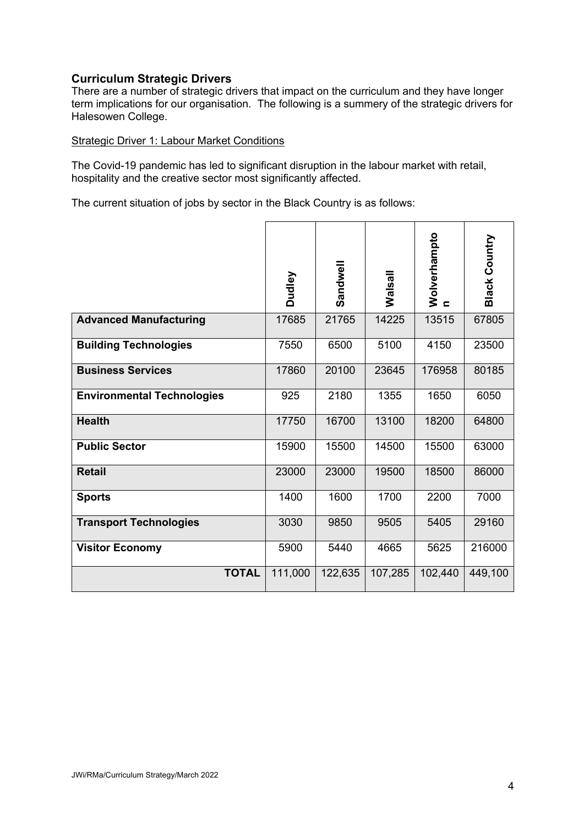## **Curriculum Strategic Drivers**

There are a number of strategic drivers that impact on the curriculum and they have longer term implications for our organisation. The following is a summery of the strategic drivers for Halesowen College.

### Strategic Driver 1: Labour Market Conditions

The Covid-19 pandemic has led to significant disruption in the labour market with retail, hospitality and the creative sector most significantly affected.

The current situation of jobs by sector in the Black Country is as follows:

|                                   | Dudley  | Sandwell | Walsall | Wolverhampto<br>$\epsilon$ | <b>Black Country</b> |
|-----------------------------------|---------|----------|---------|----------------------------|----------------------|
| <b>Advanced Manufacturing</b>     | 17685   | 21765    | 14225   | 13515                      | 67805                |
| <b>Building Technologies</b>      | 7550    | 6500     | 5100    | 4150                       | 23500                |
| <b>Business Services</b>          | 17860   | 20100    | 23645   | 176958                     | 80185                |
| <b>Environmental Technologies</b> | 925     | 2180     | 1355    | 1650                       | 6050                 |
| <b>Health</b>                     | 17750   | 16700    | 13100   | 18200                      | 64800                |
| <b>Public Sector</b>              | 15900   | 15500    | 14500   | 15500                      | 63000                |
| <b>Retail</b>                     | 23000   | 23000    | 19500   | 18500                      | 86000                |
| <b>Sports</b>                     | 1400    | 1600     | 1700    | 2200                       | 7000                 |
| <b>Transport Technologies</b>     | 3030    | 9850     | 9505    | 5405                       | 29160                |
| <b>Visitor Economy</b>            | 5900    | 5440     | 4665    | 5625                       | 216000               |
| <b>TOTAL</b>                      | 111,000 | 122,635  | 107,285 | 102,440                    | 449,100              |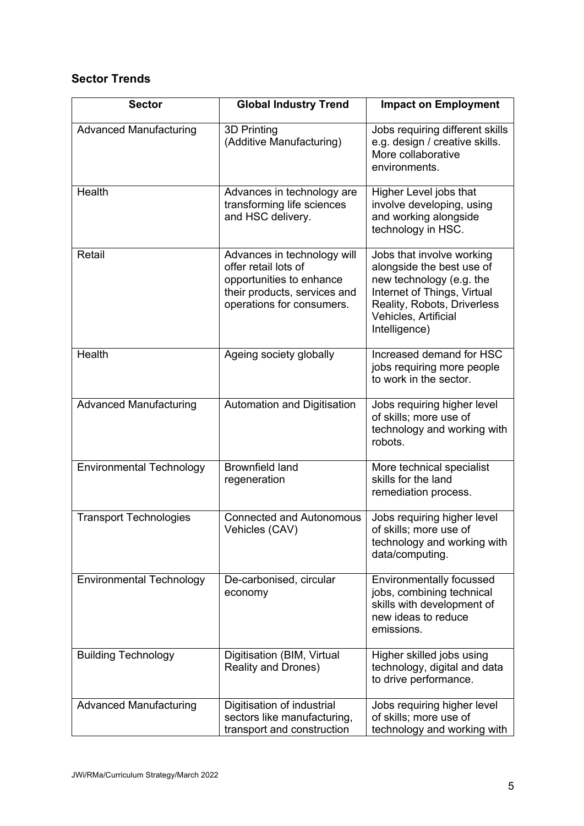## **Sector Trends**

| <b>Sector</b>                   | <b>Global Industry Trend</b>                                                                                                                 | <b>Impact on Employment</b>                                                                                                                                                               |
|---------------------------------|----------------------------------------------------------------------------------------------------------------------------------------------|-------------------------------------------------------------------------------------------------------------------------------------------------------------------------------------------|
| <b>Advanced Manufacturing</b>   | 3D Printing<br>(Additive Manufacturing)                                                                                                      | Jobs requiring different skills<br>e.g. design / creative skills.<br>More collaborative<br>environments.                                                                                  |
| Health                          | Advances in technology are<br>transforming life sciences<br>and HSC delivery.                                                                | Higher Level jobs that<br>involve developing, using<br>and working alongside<br>technology in HSC.                                                                                        |
| Retail                          | Advances in technology will<br>offer retail lots of<br>opportunities to enhance<br>their products, services and<br>operations for consumers. | Jobs that involve working<br>alongside the best use of<br>new technology (e.g. the<br>Internet of Things, Virtual<br>Reality, Robots, Driverless<br>Vehicles, Artificial<br>Intelligence) |
| Health                          | Ageing society globally                                                                                                                      | Increased demand for HSC<br>jobs requiring more people<br>to work in the sector.                                                                                                          |
| <b>Advanced Manufacturing</b>   | Automation and Digitisation                                                                                                                  | Jobs requiring higher level<br>of skills; more use of<br>technology and working with<br>robots.                                                                                           |
| <b>Environmental Technology</b> | <b>Brownfield land</b><br>regeneration                                                                                                       | More technical specialist<br>skills for the land<br>remediation process.                                                                                                                  |
| <b>Transport Technologies</b>   | <b>Connected and Autonomous</b><br>Vehicles (CAV)                                                                                            | Jobs requiring higher level<br>of skills; more use of<br>technology and working with<br>data/computing.                                                                                   |
| <b>Environmental Technology</b> | De-carbonised, circular<br>economy                                                                                                           | <b>Environmentally focussed</b><br>jobs, combining technical<br>skills with development of<br>new ideas to reduce<br>emissions.                                                           |
| <b>Building Technology</b>      | Digitisation (BIM, Virtual<br><b>Reality and Drones)</b>                                                                                     | Higher skilled jobs using<br>technology, digital and data<br>to drive performance.                                                                                                        |
| <b>Advanced Manufacturing</b>   | Digitisation of industrial<br>sectors like manufacturing,<br>transport and construction                                                      | Jobs requiring higher level<br>of skills; more use of<br>technology and working with                                                                                                      |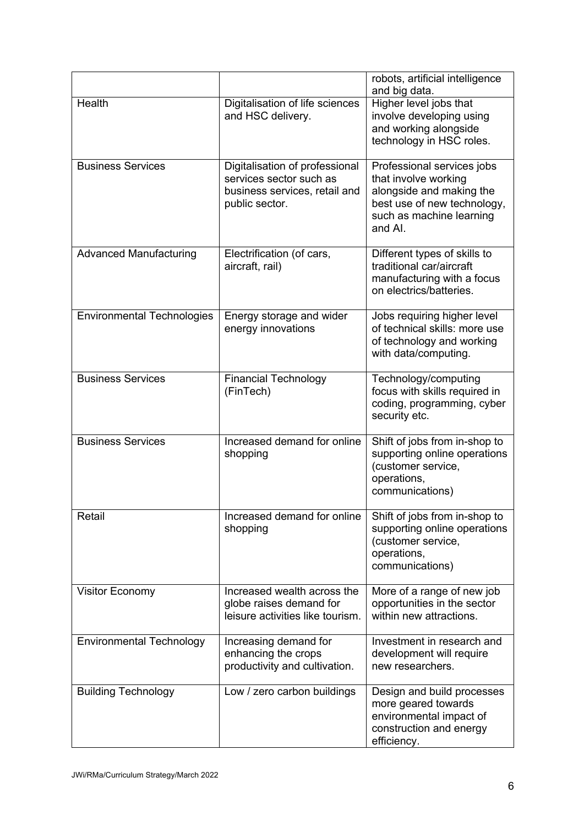|                                   |                                                                                                              | robots, artificial intelligence<br>and big data.                                                                                                     |
|-----------------------------------|--------------------------------------------------------------------------------------------------------------|------------------------------------------------------------------------------------------------------------------------------------------------------|
| Health                            | Digitalisation of life sciences<br>and HSC delivery.                                                         | Higher level jobs that<br>involve developing using<br>and working alongside<br>technology in HSC roles.                                              |
| <b>Business Services</b>          | Digitalisation of professional<br>services sector such as<br>business services, retail and<br>public sector. | Professional services jobs<br>that involve working<br>alongside and making the<br>best use of new technology,<br>such as machine learning<br>and AI. |
| <b>Advanced Manufacturing</b>     | Electrification (of cars,<br>aircraft, rail)                                                                 | Different types of skills to<br>traditional car/aircraft<br>manufacturing with a focus<br>on electrics/batteries.                                    |
| <b>Environmental Technologies</b> | Energy storage and wider<br>energy innovations                                                               | Jobs requiring higher level<br>of technical skills: more use<br>of technology and working<br>with data/computing.                                    |
| <b>Business Services</b>          | <b>Financial Technology</b><br>(FinTech)                                                                     | Technology/computing<br>focus with skills required in<br>coding, programming, cyber<br>security etc.                                                 |
| <b>Business Services</b>          | Increased demand for online<br>shopping                                                                      | Shift of jobs from in-shop to<br>supporting online operations<br>(customer service,<br>operations,<br>communications)                                |
| Retail                            | Increased demand for online<br>shopping                                                                      | Shift of jobs from in-shop to<br>supporting online operations<br>(customer service,<br>operations,<br>communications)                                |
| <b>Visitor Economy</b>            | Increased wealth across the<br>globe raises demand for<br>leisure activities like tourism.                   | More of a range of new job<br>opportunities in the sector<br>within new attractions.                                                                 |
| <b>Environmental Technology</b>   | Increasing demand for<br>enhancing the crops<br>productivity and cultivation.                                | Investment in research and<br>development will require<br>new researchers.                                                                           |
| <b>Building Technology</b>        | Low / zero carbon buildings                                                                                  | Design and build processes<br>more geared towards<br>environmental impact of<br>construction and energy<br>efficiency.                               |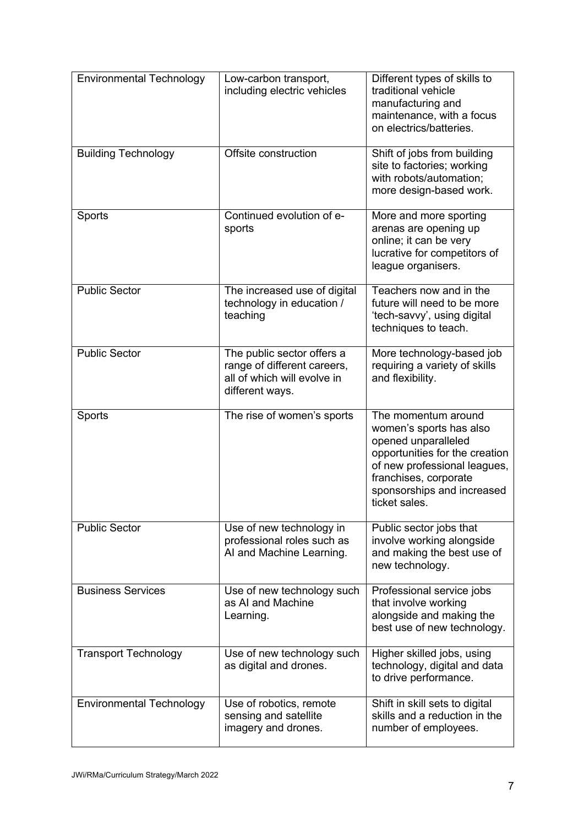| <b>Environmental Technology</b> | Low-carbon transport,<br>including electric vehicles                                                        | Different types of skills to<br>traditional vehicle<br>manufacturing and<br>maintenance, with a focus<br>on electrics/batteries.                                                                                |
|---------------------------------|-------------------------------------------------------------------------------------------------------------|-----------------------------------------------------------------------------------------------------------------------------------------------------------------------------------------------------------------|
| <b>Building Technology</b>      | Offsite construction                                                                                        | Shift of jobs from building<br>site to factories; working<br>with robots/automation;<br>more design-based work.                                                                                                 |
| Sports                          | Continued evolution of e-<br>sports                                                                         | More and more sporting<br>arenas are opening up<br>online; it can be very<br>lucrative for competitors of<br>league organisers.                                                                                 |
| <b>Public Sector</b>            | The increased use of digital<br>technology in education /<br>teaching                                       | Teachers now and in the<br>future will need to be more<br>'tech-savvy', using digital<br>techniques to teach.                                                                                                   |
| <b>Public Sector</b>            | The public sector offers a<br>range of different careers,<br>all of which will evolve in<br>different ways. | More technology-based job<br>requiring a variety of skills<br>and flexibility.                                                                                                                                  |
| Sports                          | The rise of women's sports                                                                                  | The momentum around<br>women's sports has also<br>opened unparalleled<br>opportunities for the creation<br>of new professional leagues,<br>franchises, corporate<br>sponsorships and increased<br>ticket sales. |
| <b>Public Sector</b>            | Use of new technology in<br>professional roles such as<br>AI and Machine Learning.                          | Public sector jobs that<br>involve working alongside<br>and making the best use of<br>new technology.                                                                                                           |
| <b>Business Services</b>        | Use of new technology such<br>as AI and Machine<br>Learning.                                                | Professional service jobs<br>that involve working<br>alongside and making the<br>best use of new technology.                                                                                                    |
| <b>Transport Technology</b>     | Use of new technology such<br>as digital and drones.                                                        | Higher skilled jobs, using<br>technology, digital and data<br>to drive performance.                                                                                                                             |
| <b>Environmental Technology</b> | Use of robotics, remote<br>sensing and satellite<br>imagery and drones.                                     | Shift in skill sets to digital<br>skills and a reduction in the<br>number of employees.                                                                                                                         |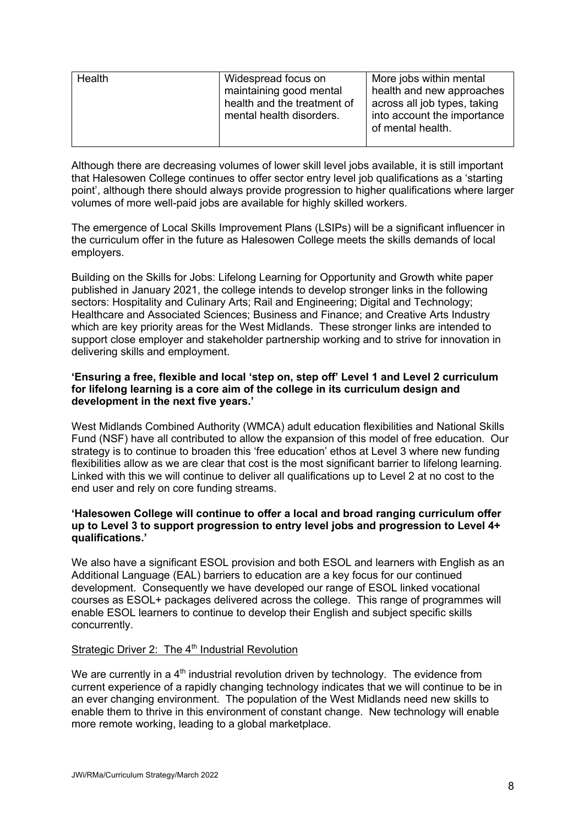| Health | Widespread focus on<br>maintaining good mental<br>health and the treatment of<br>mental health disorders. | More jobs within mental<br>health and new approaches<br>across all job types, taking<br>into account the importance<br>of mental health. |
|--------|-----------------------------------------------------------------------------------------------------------|------------------------------------------------------------------------------------------------------------------------------------------|
|        |                                                                                                           |                                                                                                                                          |

Although there are decreasing volumes of lower skill level jobs available, it is still important that Halesowen College continues to offer sector entry level job qualifications as a 'starting point', although there should always provide progression to higher qualifications where larger volumes of more well-paid jobs are available for highly skilled workers.

The emergence of Local Skills Improvement Plans (LSIPs) will be a significant influencer in the curriculum offer in the future as Halesowen College meets the skills demands of local employers.

Building on the Skills for Jobs: Lifelong Learning for Opportunity and Growth white paper published in January 2021, the college intends to develop stronger links in the following sectors: Hospitality and Culinary Arts; Rail and Engineering; Digital and Technology; Healthcare and Associated Sciences; Business and Finance; and Creative Arts Industry which are key priority areas for the West Midlands. These stronger links are intended to support close employer and stakeholder partnership working and to strive for innovation in delivering skills and employment.

### **'Ensuring a free, flexible and local 'step on, step off' Level 1 and Level 2 curriculum for lifelong learning is a core aim of the college in its curriculum design and development in the next five years.'**

West Midlands Combined Authority (WMCA) adult education flexibilities and National Skills Fund (NSF) have all contributed to allow the expansion of this model of free education. Our strategy is to continue to broaden this 'free education' ethos at Level 3 where new funding flexibilities allow as we are clear that cost is the most significant barrier to lifelong learning. Linked with this we will continue to deliver all qualifications up to Level 2 at no cost to the end user and rely on core funding streams.

### **'Halesowen College will continue to offer a local and broad ranging curriculum offer up to Level 3 to support progression to entry level jobs and progression to Level 4+ qualifications.'**

We also have a significant ESOL provision and both ESOL and learners with English as an Additional Language (EAL) barriers to education are a key focus for our continued development. Consequently we have developed our range of ESOL linked vocational courses as ESOL+ packages delivered across the college. This range of programmes will enable ESOL learners to continue to develop their English and subject specific skills concurrently.

### Strategic Driver 2: The 4<sup>th</sup> Industrial Revolution

We are currently in a  $4<sup>th</sup>$  industrial revolution driven by technology. The evidence from current experience of a rapidly changing technology indicates that we will continue to be in an ever changing environment. The population of the West Midlands need new skills to enable them to thrive in this environment of constant change. New technology will enable more remote working, leading to a global marketplace.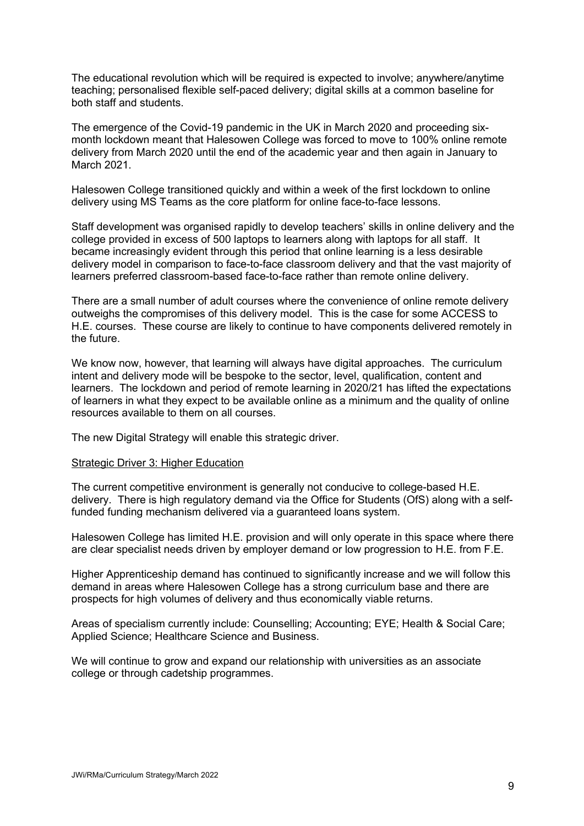The educational revolution which will be required is expected to involve; anywhere/anytime teaching; personalised flexible self-paced delivery; digital skills at a common baseline for both staff and students.

The emergence of the Covid-19 pandemic in the UK in March 2020 and proceeding sixmonth lockdown meant that Halesowen College was forced to move to 100% online remote delivery from March 2020 until the end of the academic year and then again in January to March 2021.

Halesowen College transitioned quickly and within a week of the first lockdown to online delivery using MS Teams as the core platform for online face-to-face lessons.

Staff development was organised rapidly to develop teachers' skills in online delivery and the college provided in excess of 500 laptops to learners along with laptops for all staff. It became increasingly evident through this period that online learning is a less desirable delivery model in comparison to face-to-face classroom delivery and that the vast majority of learners preferred classroom-based face-to-face rather than remote online delivery.

There are a small number of adult courses where the convenience of online remote delivery outweighs the compromises of this delivery model. This is the case for some ACCESS to H.E. courses. These course are likely to continue to have components delivered remotely in the future.

We know now, however, that learning will always have digital approaches. The curriculum intent and delivery mode will be bespoke to the sector, level, qualification, content and learners. The lockdown and period of remote learning in 2020/21 has lifted the expectations of learners in what they expect to be available online as a minimum and the quality of online resources available to them on all courses.

The new Digital Strategy will enable this strategic driver.

### Strategic Driver 3: Higher Education

The current competitive environment is generally not conducive to college-based H.E. delivery. There is high regulatory demand via the Office for Students (OfS) along with a selffunded funding mechanism delivered via a guaranteed loans system.

Halesowen College has limited H.E. provision and will only operate in this space where there are clear specialist needs driven by employer demand or low progression to H.E. from F.E.

Higher Apprenticeship demand has continued to significantly increase and we will follow this demand in areas where Halesowen College has a strong curriculum base and there are prospects for high volumes of delivery and thus economically viable returns.

Areas of specialism currently include: Counselling; Accounting; EYE; Health & Social Care; Applied Science; Healthcare Science and Business.

We will continue to grow and expand our relationship with universities as an associate college or through cadetship programmes.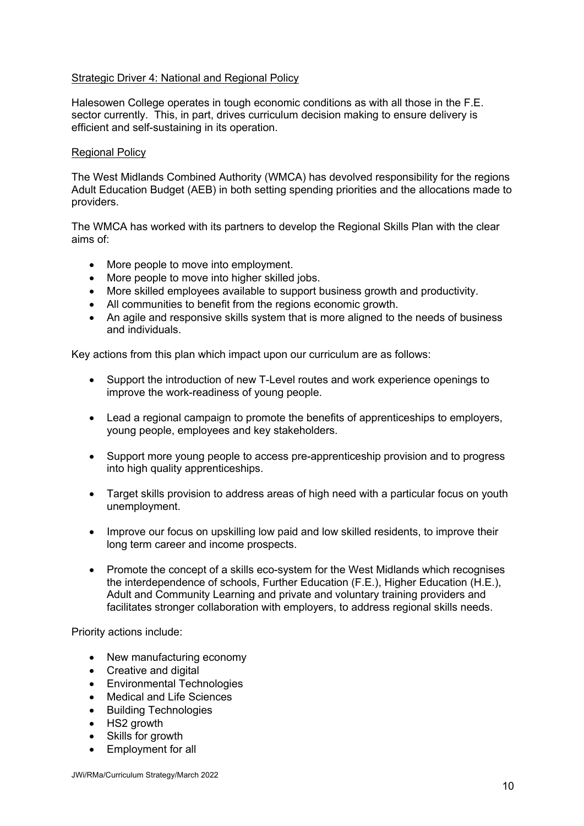### Strategic Driver 4: National and Regional Policy

Halesowen College operates in tough economic conditions as with all those in the F.E. sector currently. This, in part, drives curriculum decision making to ensure delivery is efficient and self-sustaining in its operation.

### Regional Policy

The West Midlands Combined Authority (WMCA) has devolved responsibility for the regions Adult Education Budget (AEB) in both setting spending priorities and the allocations made to providers.

The WMCA has worked with its partners to develop the Regional Skills Plan with the clear aims of:

- More people to move into employment.
- More people to move into higher skilled jobs.
- More skilled employees available to support business growth and productivity.
- All communities to benefit from the regions economic growth.
- An agile and responsive skills system that is more aligned to the needs of business and individuals.

Key actions from this plan which impact upon our curriculum are as follows:

- Support the introduction of new T-Level routes and work experience openings to improve the work-readiness of young people.
- Lead a regional campaign to promote the benefits of apprenticeships to employers, young people, employees and key stakeholders.
- Support more young people to access pre-apprenticeship provision and to progress into high quality apprenticeships.
- Target skills provision to address areas of high need with a particular focus on youth unemployment.
- Improve our focus on upskilling low paid and low skilled residents, to improve their long term career and income prospects.
- Promote the concept of a skills eco-system for the West Midlands which recognises the interdependence of schools, Further Education (F.E.), Higher Education (H.E.), Adult and Community Learning and private and voluntary training providers and facilitates stronger collaboration with employers, to address regional skills needs.

Priority actions include:

- New manufacturing economy
- Creative and digital
- Environmental Technologies
- Medical and Life Sciences
- Building Technologies
- HS2 growth
- Skills for growth
- Employment for all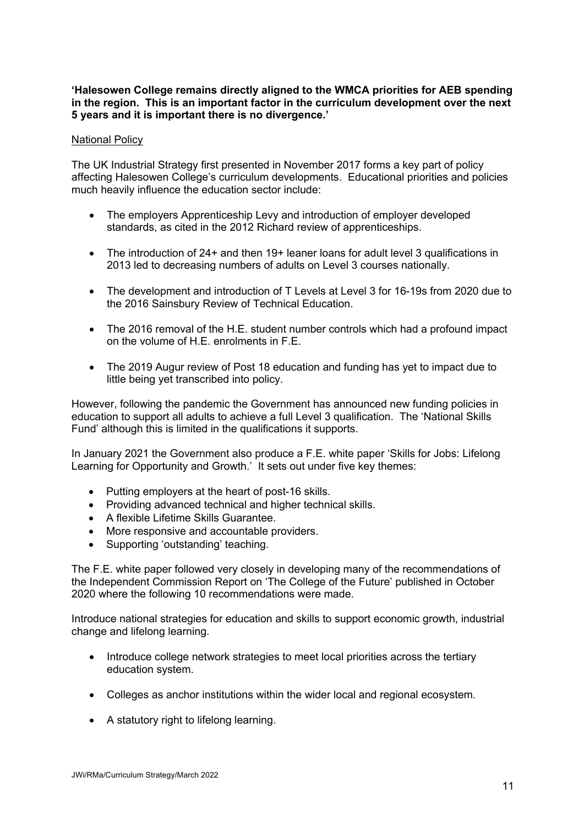### **'Halesowen College remains directly aligned to the WMCA priorities for AEB spending in the region. This is an important factor in the curriculum development over the next 5 years and it is important there is no divergence.'**

### National Policy

The UK Industrial Strategy first presented in November 2017 forms a key part of policy affecting Halesowen College's curriculum developments. Educational priorities and policies much heavily influence the education sector include:

- The employers Apprenticeship Levy and introduction of employer developed standards, as cited in the 2012 Richard review of apprenticeships.
- The introduction of 24+ and then 19+ leaner loans for adult level 3 qualifications in 2013 led to decreasing numbers of adults on Level 3 courses nationally.
- The development and introduction of T Levels at Level 3 for 16-19s from 2020 due to the 2016 Sainsbury Review of Technical Education.
- The 2016 removal of the H.E. student number controls which had a profound impact on the volume of H.E. enrolments in F.E.
- The 2019 Augur review of Post 18 education and funding has yet to impact due to little being yet transcribed into policy.

However, following the pandemic the Government has announced new funding policies in education to support all adults to achieve a full Level 3 qualification. The 'National Skills Fund' although this is limited in the qualifications it supports.

In January 2021 the Government also produce a F.E. white paper 'Skills for Jobs: Lifelong Learning for Opportunity and Growth.' It sets out under five key themes:

- Putting employers at the heart of post-16 skills.
- Providing advanced technical and higher technical skills.
- A flexible Lifetime Skills Guarantee.
- More responsive and accountable providers.
- Supporting 'outstanding' teaching.

The F.E. white paper followed very closely in developing many of the recommendations of the Independent Commission Report on 'The College of the Future' published in October 2020 where the following 10 recommendations were made.

Introduce national strategies for education and skills to support economic growth, industrial change and lifelong learning.

- Introduce college network strategies to meet local priorities across the tertiary education system.
- Colleges as anchor institutions within the wider local and regional ecosystem.
- A statutory right to lifelong learning.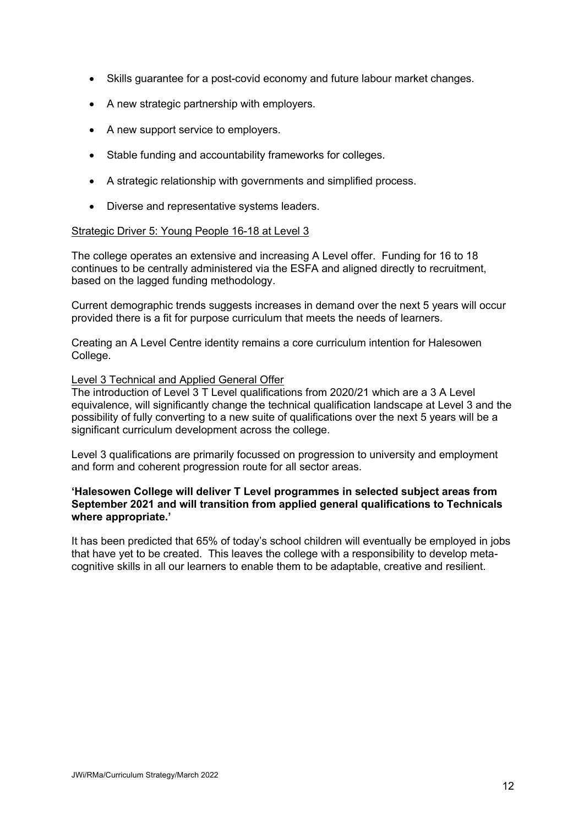- Skills guarantee for a post-covid economy and future labour market changes.
- A new strategic partnership with employers.
- A new support service to employers.
- Stable funding and accountability frameworks for colleges.
- A strategic relationship with governments and simplified process.
- Diverse and representative systems leaders.

### Strategic Driver 5: Young People 16-18 at Level 3

The college operates an extensive and increasing A Level offer. Funding for 16 to 18 continues to be centrally administered via the ESFA and aligned directly to recruitment, based on the lagged funding methodology.

Current demographic trends suggests increases in demand over the next 5 years will occur provided there is a fit for purpose curriculum that meets the needs of learners.

Creating an A Level Centre identity remains a core curriculum intention for Halesowen College.

### Level 3 Technical and Applied General Offer

The introduction of Level 3 T Level qualifications from 2020/21 which are a 3 A Level equivalence, will significantly change the technical qualification landscape at Level 3 and the possibility of fully converting to a new suite of qualifications over the next 5 years will be a significant curriculum development across the college.

Level 3 qualifications are primarily focussed on progression to university and employment and form and coherent progression route for all sector areas.

### **'Halesowen College will deliver T Level programmes in selected subject areas from September 2021 and will transition from applied general qualifications to Technicals where appropriate.'**

It has been predicted that 65% of today's school children will eventually be employed in jobs that have yet to be created. This leaves the college with a responsibility to develop metacognitive skills in all our learners to enable them to be adaptable, creative and resilient.